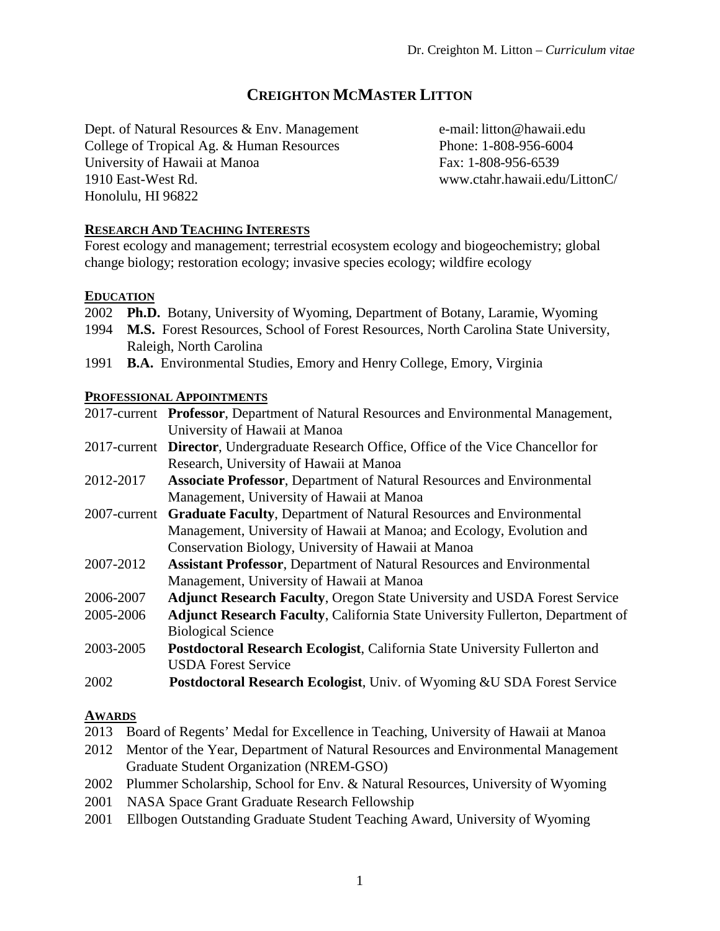# **CREIGHTON MCMASTER LITTON**

Dept. of Natural Resources & Env. Management College of Tropical Ag. & Human Resources University of Hawaii at Manoa 1910 East-West Rd. Honolulu, HI 96822

e-mail: litton@hawaii.edu Phone: 1-808-956-6004 Fax: 1-808-956-6539 www.ctahr.hawaii.edu/LittonC/

## **RESEARCH AND TEACHING INTERESTS**

Forest ecology and management; terrestrial ecosystem ecology and biogeochemistry; global change biology; restoration ecology; invasive species ecology; wildfire ecology

### **EDUCATION**

- 2002 **Ph.D.** Botany, University of Wyoming, Department of Botany, Laramie, Wyoming
- 1994 **M.S.** Forest Resources, School of Forest Resources, North Carolina State University, Raleigh, North Carolina
- 1991 **B.A.** Environmental Studies, Emory and Henry College, Emory, Virginia

### **PROFESSIONAL APPOINTMENTS**

2017-current **Professor**, Department of Natural Resources and Environmental Management, University of Hawaii at Manoa

- 2017-current **Director**, Undergraduate Research Office, Office of the Vice Chancellor for Research, University of Hawaii at Manoa
- 2012-2017 **Associate Professor**, Department of Natural Resources and Environmental Management, University of Hawaii at Manoa
- 2007-current **Graduate Faculty**, Department of Natural Resources and Environmental Management, University of Hawaii at Manoa; and Ecology, Evolution and Conservation Biology, University of Hawaii at Manoa
- 2007-2012 **Assistant Professor**, Department of Natural Resources and Environmental Management, University of Hawaii at Manoa
- 2006-2007 **Adjunct Research Faculty**, Oregon State University and USDA Forest Service
- 2005-2006 **Adjunct Research Faculty**, California State University Fullerton, Department of Biological Science
- 2003-2005 **Postdoctoral Research Ecologist**, California State University Fullerton and USDA Forest Service
- 2002 **Postdoctoral Research Ecologist**, Univ. of Wyoming &U SDA Forest Service

### **AWARDS**

- 2013 Board of Regents' Medal for Excellence in Teaching, University of Hawaii at Manoa
- 2012 Mentor of the Year, Department of Natural Resources and Environmental Management Graduate Student Organization (NREM-GSO)
- 2002 Plummer Scholarship, School for Env. & Natural Resources, University of Wyoming
- 2001 NASA Space Grant Graduate Research Fellowship
- 2001 Ellbogen Outstanding Graduate Student Teaching Award, University of Wyoming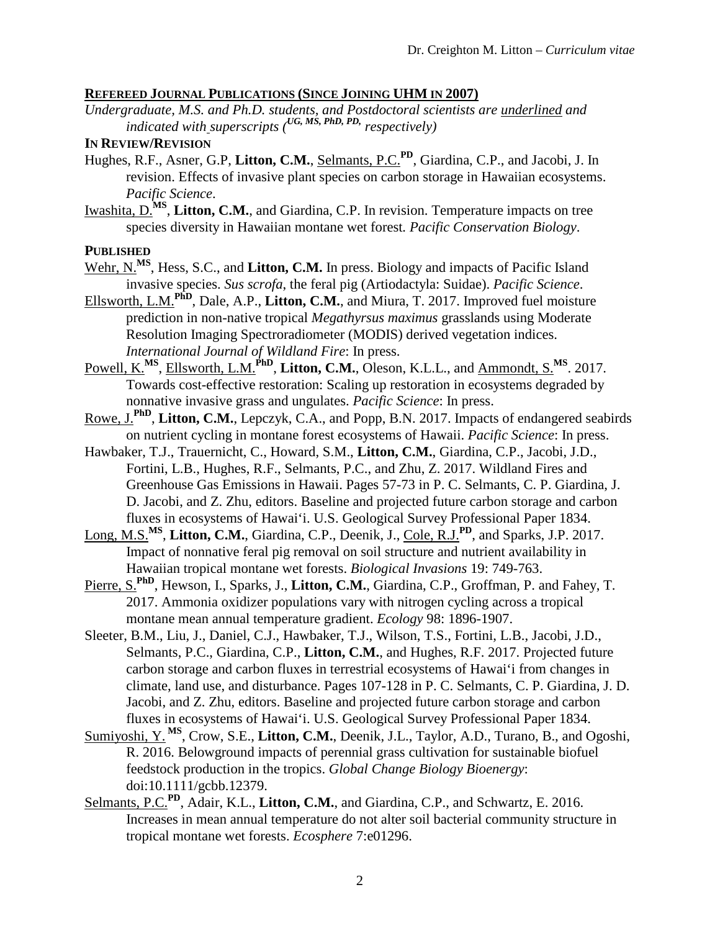### **REFEREED JOURNAL PUBLICATIONS (SINCE JOINING UHM IN 2007)**

*Undergraduate, M.S. and Ph.D. students, and Postdoctoral scientists are underlined and indicated with superscripts (UG, MS, PhD, PD, respectively)*

### **IN REVIEW/REVISION**

- Hughes, R.F., Asner, G.P, **Litton, C.M.**, Selmants, P.C.**PD**, Giardina, C.P., and Jacobi, J. In revision. Effects of invasive plant species on carbon storage in Hawaiian ecosystems. *Pacific Science*.
- Iwashita, D.<sup>MS</sup>, Litton, C.M., and Giardina, C.P. In revision. Temperature impacts on tree species diversity in Hawaiian montane wet forest*. Pacific Conservation Biology*.

#### **PUBLISHED**

- Wehr, N.<sup>MS</sup>, Hess, S.C., and Litton, C.M. In press. Biology and impacts of Pacific Island invasive species. *Sus scrofa*, the feral pig (Artiodactyla: Suidae). *Pacific Science*.
- Ellsworth, L.M.**PhD**, Dale, A.P., **Litton, C.M.**, and Miura, T. 2017. Improved fuel moisture prediction in non-native tropical *Megathyrsus maximus* grasslands using Moderate Resolution Imaging Spectroradiometer (MODIS) derived vegetation indices. *International Journal of Wildland Fire*: In press.
- Powell, K.<sup>MS</sup>, Ellsworth, L.M.<sup>PhD</sup>, Litton, C.M., Oleson, K.L.L., and Ammondt, S.<sup>MS</sup>. 2017. Towards cost-effective restoration: Scaling up restoration in ecosystems degraded by nonnative invasive grass and ungulates. *Pacific Science*: In press.
- Rowe, J.**PhD**, **Litton, C.M.**, Lepczyk, C.A., and Popp, B.N. 2017. Impacts of endangered seabirds on nutrient cycling in montane forest ecosystems of Hawaii. *Pacific Science*: In press.
- Hawbaker, T.J., Trauernicht, C., Howard, S.M., **Litton, C.M.**, Giardina, C.P., Jacobi, J.D., Fortini, L.B., Hughes, R.F., Selmants, P.C., and Zhu, Z. 2017. Wildland Fires and Greenhouse Gas Emissions in Hawaii. Pages 57-73 in P. C. Selmants, C. P. Giardina, J. D. Jacobi, and Z. Zhu, editors. Baseline and projected future carbon storage and carbon fluxes in ecosystems of Hawai'i. U.S. Geological Survey Professional Paper 1834.
- Long, M.S.**MS**, **Litton, C.M.**, Giardina, C.P., Deenik, J., Cole, R.J.**PD**, and Sparks, J.P. 2017. Impact of nonnative feral pig removal on soil structure and nutrient availability in Hawaiian tropical montane wet forests. *Biological Invasions* 19: 749-763.
- Pierre, S.**PhD**, Hewson, I., Sparks, J., **Litton, C.M.**, Giardina, C.P., Groffman, P. and Fahey, T. 2017. Ammonia oxidizer populations vary with nitrogen cycling across a tropical montane mean annual temperature gradient. *Ecology* 98: 1896-1907.
- Sleeter, B.M., Liu, J., Daniel, C.J., Hawbaker, T.J., Wilson, T.S., Fortini, L.B., Jacobi, J.D., Selmants, P.C., Giardina, C.P., **Litton, C.M.**, and Hughes, R.F. 2017. Projected future carbon storage and carbon fluxes in terrestrial ecosystems of Hawai'i from changes in climate, land use, and disturbance. Pages 107-128 in P. C. Selmants, C. P. Giardina, J. D. Jacobi, and Z. Zhu, editors. Baseline and projected future carbon storage and carbon fluxes in ecosystems of Hawai'i. U.S. Geological Survey Professional Paper 1834.
- Sumiyoshi, Y. **MS**, Crow, S.E., **Litton, C.M.**, Deenik, J.L., Taylor, A.D., Turano, B., and Ogoshi, R. 2016. Belowground impacts of perennial grass cultivation for sustainable biofuel feedstock production in the tropics. *Global Change Biology Bioenergy*: doi:10.1111/gcbb.12379.
- Selmants, P.C.**PD**, Adair, K.L., **Litton, C.M.**, and Giardina, C.P., and Schwartz, E. 2016. Increases in mean annual temperature do not alter soil bacterial community structure in tropical montane wet forests. *Ecosphere* 7:e01296.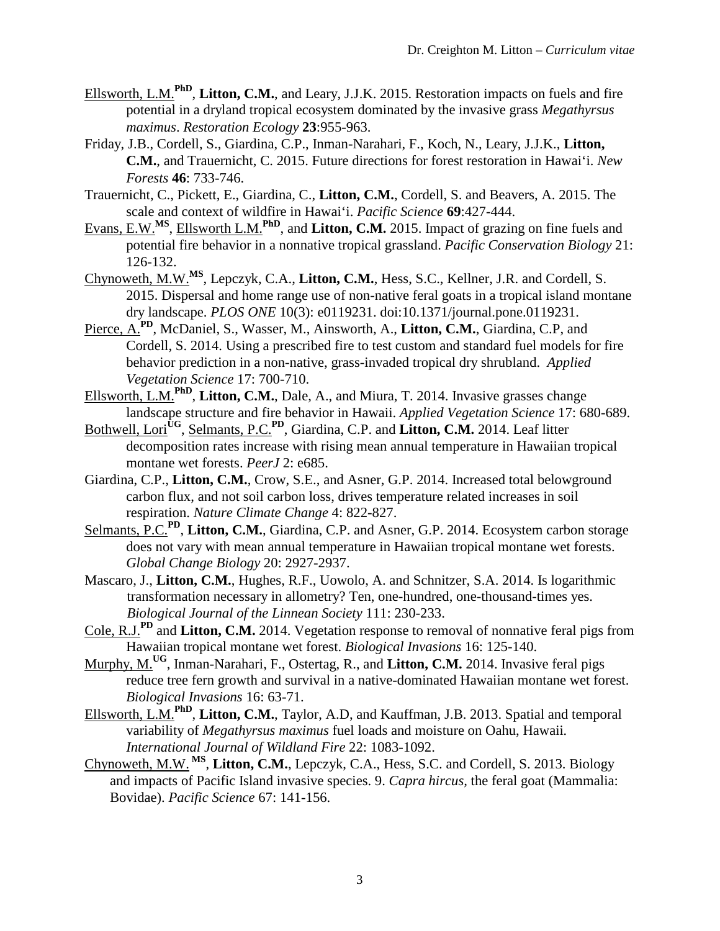- Ellsworth, L.M.**PhD**, **Litton, C.M.**, and Leary, J.J.K. 2015. Restoration impacts on fuels and fire potential in a dryland tropical ecosystem dominated by the invasive grass *Megathyrsus maximus*. *Restoration Ecology* **23**:955-963.
- Friday, J.B., Cordell, S., Giardina, C.P., Inman-Narahari, F., Koch, N., Leary, J.J.K., **Litton, C.M.**, and Trauernicht, C. 2015. Future directions for forest restoration in Hawai'i. *New Forests* **46**: 733-746.
- Trauernicht, C., Pickett, E., Giardina, C., **Litton, C.M.**, Cordell, S. and Beavers, A. 2015. The scale and context of wildfire in Hawai'i. *Pacific Science* **69**:427-444.
- Evans, E.W.**MS**, Ellsworth L.M.**PhD**, and **Litton, C.M.** 2015. Impact of grazing on fine fuels and potential fire behavior in a nonnative tropical grassland. *Pacific Conservation Biology* 21: 126-132.
- Chynoweth, M.W.**MS**, Lepczyk, C.A., **Litton, C.M.**, Hess, S.C., Kellner, J.R. and Cordell, S. 2015. Dispersal and home range use of non-native feral goats in a tropical island montane dry landscape. *PLOS ONE* 10(3): e0119231. doi:10.1371/journal.pone.0119231.
- Pierce, A.**PD**, McDaniel, S., Wasser, M., Ainsworth, A., **Litton, C.M.**, Giardina, C.P, and Cordell, S. 2014. Using a prescribed fire to test custom and standard fuel models for fire behavior prediction in a non-native, grass-invaded tropical dry shrubland. *Applied Vegetation Science* 17: 700-710.
- Ellsworth, L.M.**PhD**, **Litton, C.M.**, Dale, A., and Miura, T. 2014. Invasive grasses change landscape structure and fire behavior in Hawaii. *Applied Vegetation Science* 17: 680-689.
- Bothwell, Lori<sup>UG</sup>, Selmants, P.C.<sup>PD</sup>, Giardina, C.P. and **Litton, C.M.** 2014. Leaf litter decomposition rates increase with rising mean annual temperature in Hawaiian tropical montane wet forests. *PeerJ* 2: e685.
- Giardina, C.P., **Litton, C.M.**, Crow, S.E., and Asner, G.P. 2014. Increased total belowground carbon flux, and not soil carbon loss, drives temperature related increases in soil respiration. *Nature Climate Change* 4: 822-827.
- Selmants, P.C.**PD**, **Litton, C.M.**, Giardina, C.P. and Asner, G.P. 2014. Ecosystem carbon storage does not vary with mean annual temperature in Hawaiian tropical montane wet forests. *Global Change Biology* 20: 2927-2937.
- Mascaro, J., **Litton, C.M.**, Hughes, R.F., Uowolo, A. and Schnitzer, S.A. 2014. Is logarithmic transformation necessary in allometry? Ten, one-hundred, one-thousand-times yes. *Biological Journal of the Linnean Society* 111: 230-233.
- Cole, R.J.**PD** and **Litton, C.M.** 2014. Vegetation response to removal of nonnative feral pigs from Hawaiian tropical montane wet forest. *Biological Invasions* 16: 125-140.
- Murphy, M.**UG**, Inman-Narahari, F., Ostertag, R., and **Litton, C.M.** 2014. Invasive feral pigs reduce tree fern growth and survival in a native-dominated Hawaiian montane wet forest. *Biological Invasions* 16: 63-71.
- Ellsworth, L.M.**PhD**, **Litton, C.M.**, Taylor, A.D, and Kauffman, J.B. 2013. Spatial and temporal variability of *Megathyrsus maximus* fuel loads and moisture on Oahu, Hawaii*. International Journal of Wildland Fire* 22: 1083-1092.
- Chynoweth, M.W. **MS**, **Litton, C.M.**, Lepczyk, C.A., Hess, S.C. and Cordell, S. 2013. Biology and impacts of Pacific Island invasive species. 9. *Capra hircus,* the feral goat (Mammalia: Bovidae). *Pacific Science* 67: 141-156.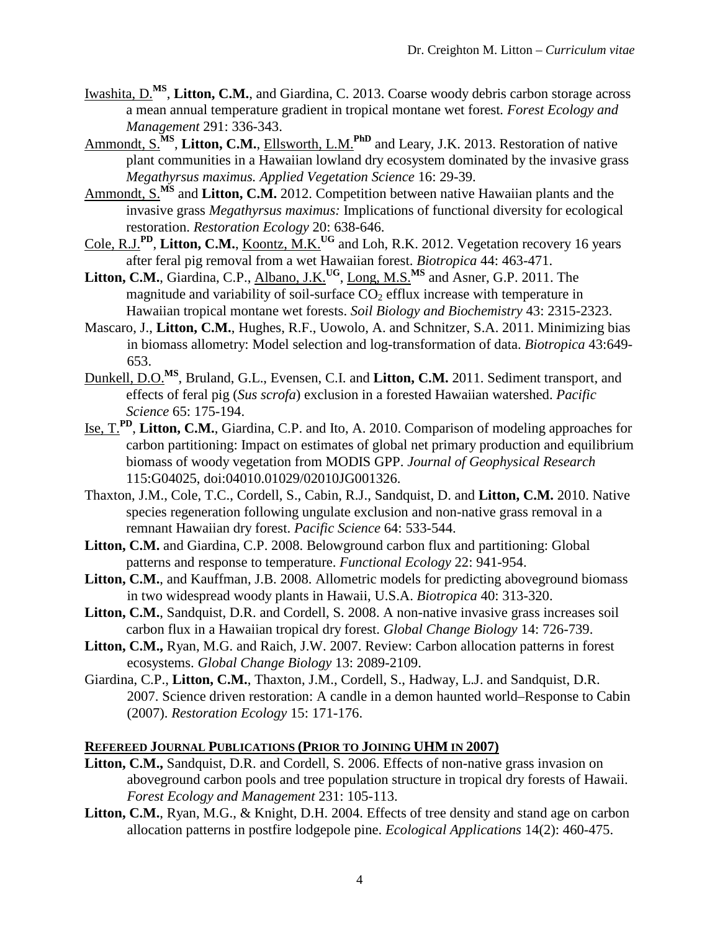- Iwashita, D.<sup>MS</sup>, Litton, C.M., and Giardina, C. 2013. Coarse woody debris carbon storage across a mean annual temperature gradient in tropical montane wet forest*. Forest Ecology and Management* 291: 336-343.
- Ammondt, S.<sup>MS</sup>, Litton, C.M., Ellsworth, L.M.<sup>PhD</sup> and Leary, J.K. 2013. Restoration of native plant communities in a Hawaiian lowland dry ecosystem dominated by the invasive grass *Megathyrsus maximus. Applied Vegetation Science* 16: 29-39.
- Ammondt, S.<sup>MS</sup> and **Litton, C.M.** 2012. Competition between native Hawaiian plants and the invasive grass *Megathyrsus maximus:* Implications of functional diversity for ecological restoration. *Restoration Ecology* 20: 638-646.
- Cole, R.J.**PD**, **Litton, C.M.**, Koontz, M.K.**UG** and Loh, R.K. 2012. Vegetation recovery 16 years after feral pig removal from a wet Hawaiian forest. *Biotropica* 44: 463-471.
- Litton, C.M., Giardina, C.P., Albano, J.K.<sup>UG</sup>, Long, M.S.<sup>MS</sup> and Asner, G.P. 2011. The magnitude and variability of soil-surface  $CO<sub>2</sub>$  efflux increase with temperature in Hawaiian tropical montane wet forests. *Soil Biology and Biochemistry* 43: 2315-2323.
- Mascaro, J., **Litton, C.M.**, Hughes, R.F., Uowolo, A. and Schnitzer, S.A. 2011. Minimizing bias in biomass allometry: Model selection and log-transformation of data. *Biotropica* 43:649- 653.
- Dunkell, D.O.**MS**, Bruland, G.L., Evensen, C.I. and **Litton, C.M.** 2011. Sediment transport, and effects of feral pig (*Sus scrofa*) exclusion in a forested Hawaiian watershed. *Pacific Science* 65: 175-194.
- Ise, T.**PD**, **Litton, C.M.**, Giardina, C.P. and Ito, A. 2010. Comparison of modeling approaches for carbon partitioning: Impact on estimates of global net primary production and equilibrium biomass of woody vegetation from MODIS GPP. *Journal of Geophysical Research*  115:G04025, doi:04010.01029/02010JG001326.
- Thaxton, J.M., Cole, T.C., Cordell, S., Cabin, R.J., Sandquist, D. and **Litton, C.M.** 2010. Native species regeneration following ungulate exclusion and non-native grass removal in a remnant Hawaiian dry forest. *Pacific Science* 64: 533-544.
- **Litton, C.M.** and Giardina, C.P. 2008. Belowground carbon flux and partitioning: Global patterns and response to temperature. *Functional Ecology* 22: 941-954.
- Litton, C.M., and Kauffman, J.B. 2008. Allometric models for predicting aboveground biomass in two widespread woody plants in Hawaii, U.S.A. *Biotropica* 40: 313-320.
- Litton, C.M., Sandquist, D.R. and Cordell, S. 2008. A non-native invasive grass increases soil carbon flux in a Hawaiian tropical dry forest. *Global Change Biology* 14: 726-739.
- **Litton, C.M.,** Ryan, M.G. and Raich, J.W. 2007. Review: Carbon allocation patterns in forest ecosystems. *Global Change Biology* 13: 2089-2109.
- Giardina, C.P., **Litton, C.M.**, Thaxton, J.M., Cordell, S., Hadway, L.J. and Sandquist, D.R. 2007. Science driven restoration: A candle in a demon haunted world–Response to Cabin (2007). *Restoration Ecology* 15: 171-176.

### **REFEREED JOURNAL PUBLICATIONS (PRIOR TO JOINING UHM IN 2007)**

- Litton, C.M., Sandquist, D.R. and Cordell, S. 2006. Effects of non-native grass invasion on aboveground carbon pools and tree population structure in tropical dry forests of Hawaii. *Forest Ecology and Management* 231: 105-113.
- **Litton, C.M.**, Ryan, M.G., & Knight, D.H. 2004. Effects of tree density and stand age on carbon allocation patterns in postfire lodgepole pine. *Ecological Applications* 14(2): 460-475.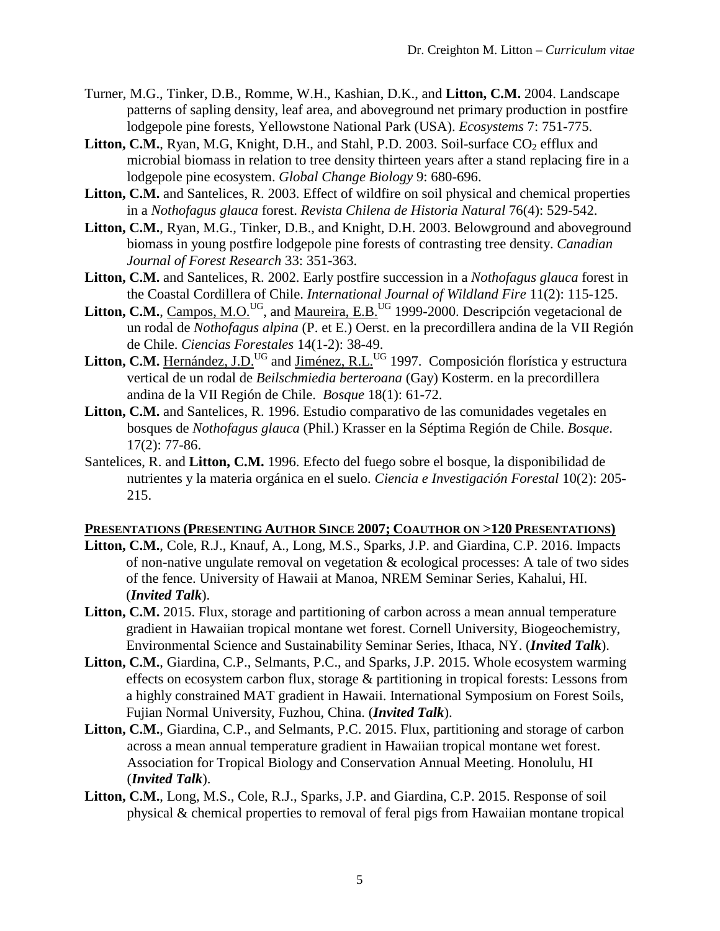- Turner, M.G., Tinker, D.B., Romme, W.H., Kashian, D.K., and **Litton, C.M.** 2004. Landscape patterns of sapling density, leaf area, and aboveground net primary production in postfire lodgepole pine forests, Yellowstone National Park (USA). *Ecosystems* 7: 751-775.
- **Litton, C.M.**, Ryan, M.G., Knight, D.H., and Stahl, P.D. 2003. Soil-surface  $CO<sub>2</sub>$  efflux and microbial biomass in relation to tree density thirteen years after a stand replacing fire in a lodgepole pine ecosystem. *Global Change Biology* 9: 680-696.
- **Litton, C.M.** and Santelices, R. 2003. Effect of wildfire on soil physical and chemical properties in a *Nothofagus glauca* forest. *Revista Chilena de Historia Natural* 76(4): 529-542.
- **Litton, C.M.**, Ryan, M.G., Tinker, D.B., and Knight, D.H. 2003. Belowground and aboveground biomass in young postfire lodgepole pine forests of contrasting tree density. *Canadian Journal of Forest Research* 33: 351-363.
- **Litton, C.M.** and Santelices, R. 2002. Early postfire succession in a *Nothofagus glauca* forest in the Coastal Cordillera of Chile. *International Journal of Wildland Fire* 11(2): 115-125.
- **Litton, C.M.**, Campos, M.O.<sup>UG</sup>, and Maureira, E.B.<sup>UG</sup> 1999-2000. Descripción vegetacional de un rodal de *Nothofagus alpina* (P. et E.) Oerst. en la precordillera andina de la VII Región de Chile. *Ciencias Forestales* 14(1-2): 38-49.
- Litton, C.M. Hernández, J.D.<sup>UG</sup> and Jiménez, R.L.<sup>UG</sup> 1997. Composición florística y estructura vertical de un rodal de *Beilschmiedia berteroana* (Gay) Kosterm. en la precordillera andina de la VII Región de Chile. *Bosque* 18(1): 61-72.
- **Litton, C.M.** and Santelices, R. 1996. Estudio comparativo de las comunidades vegetales en bosques de *Nothofagus glauca* (Phil.) Krasser en la Séptima Región de Chile. *Bosque*. 17(2): 77-86.
- Santelices, R. and **Litton, C.M.** 1996. Efecto del fuego sobre el bosque, la disponibilidad de nutrientes y la materia orgánica en el suelo. *Ciencia e Investigación Forestal* 10(2): 205- 215.

## **PRESENTATIONS (PRESENTING AUTHOR SINCE 2007; COAUTHOR ON >120 PRESENTATIONS)**

- **Litton, C.M.**, Cole, R.J., Knauf, A., Long, M.S., Sparks, J.P. and Giardina, C.P. 2016. Impacts of non-native ungulate removal on vegetation & ecological processes: A tale of two sides of the fence. University of Hawaii at Manoa, NREM Seminar Series, Kahalui, HI. (*Invited Talk*).
- Litton, C.M. 2015. Flux, storage and partitioning of carbon across a mean annual temperature gradient in Hawaiian tropical montane wet forest. Cornell University, Biogeochemistry, Environmental Science and Sustainability Seminar Series, Ithaca, NY. (*Invited Talk*).
- **Litton, C.M.**, Giardina, C.P., Selmants, P.C., and Sparks, J.P. 2015. Whole ecosystem warming effects on ecosystem carbon flux, storage & partitioning in tropical forests: Lessons from a highly constrained MAT gradient in Hawaii. International Symposium on Forest Soils, Fujian Normal University, Fuzhou, China. (*Invited Talk*).
- **Litton, C.M.**, Giardina, C.P., and Selmants, P.C. 2015. Flux, partitioning and storage of carbon across a mean annual temperature gradient in Hawaiian tropical montane wet forest. Association for Tropical Biology and Conservation Annual Meeting. Honolulu, HI (*Invited Talk*).
- **Litton, C.M.**, Long, M.S., Cole, R.J., Sparks, J.P. and Giardina, C.P. 2015. Response of soil physical & chemical properties to removal of feral pigs from Hawaiian montane tropical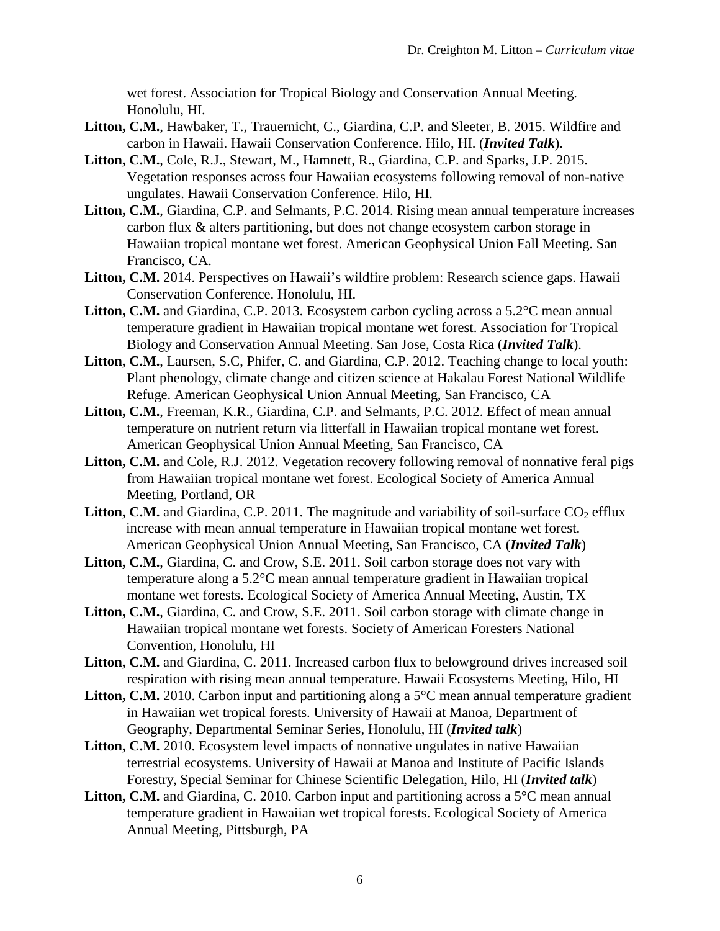wet forest. Association for Tropical Biology and Conservation Annual Meeting. Honolulu, HI.

- **Litton, C.M.**, Hawbaker, T., Trauernicht, C., Giardina, C.P. and Sleeter, B. 2015. Wildfire and carbon in Hawaii. Hawaii Conservation Conference. Hilo, HI. (*Invited Talk*).
- **Litton, C.M.**, Cole, R.J., Stewart, M., Hamnett, R., Giardina, C.P. and Sparks, J.P. 2015. Vegetation responses across four Hawaiian ecosystems following removal of non-native ungulates. Hawaii Conservation Conference. Hilo, HI.
- Litton, C.M., Giardina, C.P. and Selmants, P.C. 2014. Rising mean annual temperature increases carbon flux & alters partitioning, but does not change ecosystem carbon storage in Hawaiian tropical montane wet forest. American Geophysical Union Fall Meeting. San Francisco, CA.
- Litton, C.M. 2014. Perspectives on Hawaii's wildfire problem: Research science gaps. Hawaii Conservation Conference. Honolulu, HI.
- Litton, C.M. and Giardina, C.P. 2013. Ecosystem carbon cycling across a 5.2<sup>o</sup>C mean annual temperature gradient in Hawaiian tropical montane wet forest. Association for Tropical Biology and Conservation Annual Meeting. San Jose, Costa Rica (*Invited Talk*).
- **Litton, C.M.**, Laursen, S.C, Phifer, C. and Giardina, C.P. 2012. Teaching change to local youth: Plant phenology, climate change and citizen science at Hakalau Forest National Wildlife Refuge. American Geophysical Union Annual Meeting, San Francisco, CA
- **Litton, C.M.**, Freeman, K.R., Giardina, C.P. and Selmants, P.C. 2012. Effect of mean annual temperature on nutrient return via litterfall in Hawaiian tropical montane wet forest. American Geophysical Union Annual Meeting, San Francisco, CA
- Litton, C.M. and Cole, R.J. 2012. Vegetation recovery following removal of nonnative feral pigs from Hawaiian tropical montane wet forest. Ecological Society of America Annual Meeting, Portland, OR
- **Litton, C.M.** and Giardina, C.P. 2011. The magnitude and variability of soil-surface  $CO_2$  efflux increase with mean annual temperature in Hawaiian tropical montane wet forest. American Geophysical Union Annual Meeting, San Francisco, CA (*Invited Talk*)
- **Litton, C.M.**, Giardina, C. and Crow, S.E. 2011. Soil carbon storage does not vary with temperature along a 5.2°C mean annual temperature gradient in Hawaiian tropical montane wet forests. Ecological Society of America Annual Meeting, Austin, TX
- **Litton, C.M.**, Giardina, C. and Crow, S.E. 2011. Soil carbon storage with climate change in Hawaiian tropical montane wet forests. Society of American Foresters National Convention, Honolulu, HI
- Litton, C.M. and Giardina, C. 2011. Increased carbon flux to belowground drives increased soil respiration with rising mean annual temperature. Hawaii Ecosystems Meeting, Hilo, HI
- Litton, C.M. 2010. Carbon input and partitioning along a 5<sup>o</sup>C mean annual temperature gradient in Hawaiian wet tropical forests. University of Hawaii at Manoa, Department of Geography, Departmental Seminar Series, Honolulu, HI (*Invited talk*)
- Litton, C.M. 2010. Ecosystem level impacts of nonnative ungulates in native Hawaiian terrestrial ecosystems. University of Hawaii at Manoa and Institute of Pacific Islands Forestry, Special Seminar for Chinese Scientific Delegation, Hilo, HI (*Invited talk*)
- Litton, C.M. and Giardina, C. 2010. Carbon input and partitioning across a 5°C mean annual temperature gradient in Hawaiian wet tropical forests. Ecological Society of America Annual Meeting, Pittsburgh, PA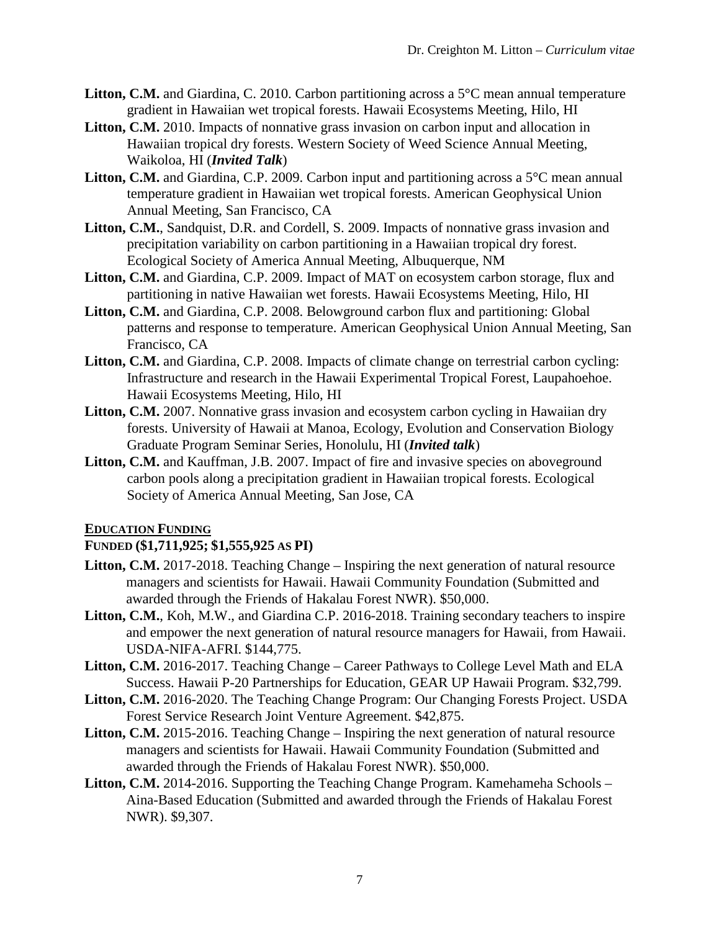- **Litton, C.M.** and Giardina, C. 2010. Carbon partitioning across a 5<sup>o</sup>C mean annual temperature gradient in Hawaiian wet tropical forests. Hawaii Ecosystems Meeting, Hilo, HI
- **Litton, C.M.** 2010. Impacts of nonnative grass invasion on carbon input and allocation in Hawaiian tropical dry forests. Western Society of Weed Science Annual Meeting, Waikoloa, HI (*Invited Talk*)
- Litton, C.M. and Giardina, C.P. 2009. Carbon input and partitioning across a 5<sup>o</sup>C mean annual temperature gradient in Hawaiian wet tropical forests. American Geophysical Union Annual Meeting, San Francisco, CA
- Litton, C.M., Sandquist, D.R. and Cordell, S. 2009. Impacts of nonnative grass invasion and precipitation variability on carbon partitioning in a Hawaiian tropical dry forest. Ecological Society of America Annual Meeting, Albuquerque, NM
- **Litton, C.M.** and Giardina, C.P. 2009. Impact of MAT on ecosystem carbon storage, flux and partitioning in native Hawaiian wet forests. Hawaii Ecosystems Meeting, Hilo, HI
- **Litton, C.M.** and Giardina, C.P. 2008. Belowground carbon flux and partitioning: Global patterns and response to temperature. American Geophysical Union Annual Meeting, San Francisco, CA
- Litton, C.M. and Giardina, C.P. 2008. Impacts of climate change on terrestrial carbon cycling: Infrastructure and research in the Hawaii Experimental Tropical Forest, Laupahoehoe. Hawaii Ecosystems Meeting, Hilo, HI
- Litton, C.M. 2007. Nonnative grass invasion and ecosystem carbon cycling in Hawaiian dry forests. University of Hawaii at Manoa, Ecology, Evolution and Conservation Biology Graduate Program Seminar Series, Honolulu, HI (*Invited talk*)
- Litton, C.M. and Kauffman, J.B. 2007. Impact of fire and invasive species on aboveground carbon pools along a precipitation gradient in Hawaiian tropical forests. Ecological Society of America Annual Meeting, San Jose, CA

# **EDUCATION FUNDING**

# **FUNDED (\$1,711,925; \$1,555,925 AS PI)**

- Litton, C.M. 2017-2018. Teaching Change Inspiring the next generation of natural resource managers and scientists for Hawaii. Hawaii Community Foundation (Submitted and awarded through the Friends of Hakalau Forest NWR). \$50,000.
- **Litton, C.M.**, Koh, M.W., and Giardina C.P. 2016-2018. Training secondary teachers to inspire and empower the next generation of natural resource managers for Hawaii, from Hawaii. USDA-NIFA-AFRI. \$144,775.
- **Litton, C.M.** 2016-2017. Teaching Change Career Pathways to College Level Math and ELA Success. Hawaii P-20 Partnerships for Education, GEAR UP Hawaii Program. \$32,799.
- **Litton, C.M.** 2016-2020. The Teaching Change Program: Our Changing Forests Project. USDA Forest Service Research Joint Venture Agreement. \$42,875.
- Litton, C.M. 2015-2016. Teaching Change Inspiring the next generation of natural resource managers and scientists for Hawaii. Hawaii Community Foundation (Submitted and awarded through the Friends of Hakalau Forest NWR). \$50,000.
- **Litton, C.M.** 2014-2016. Supporting the Teaching Change Program. Kamehameha Schools Aina-Based Education (Submitted and awarded through the Friends of Hakalau Forest NWR). \$9,307.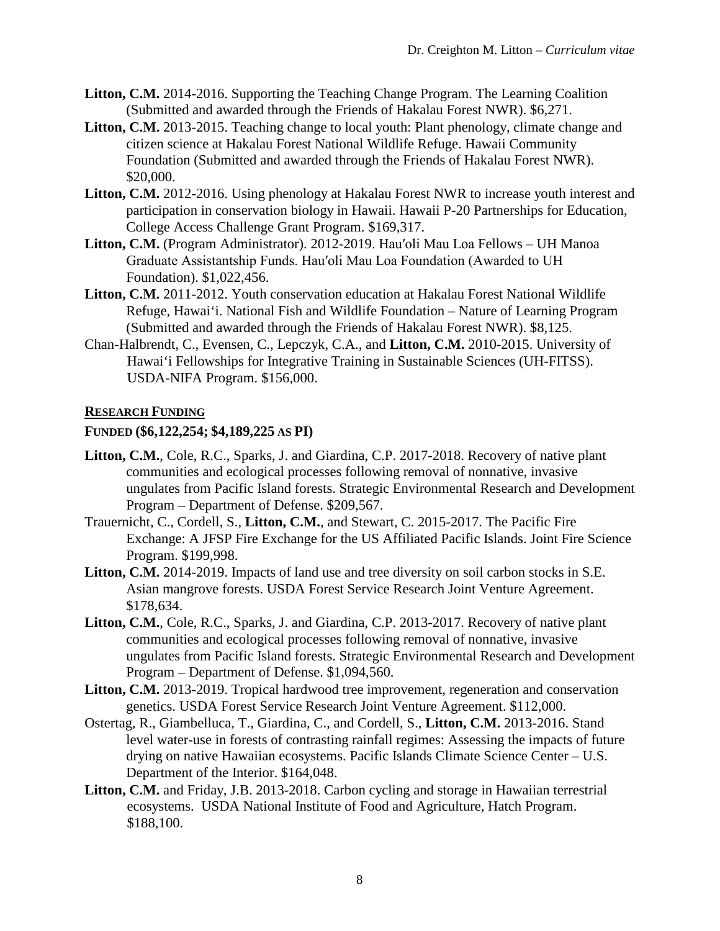- **Litton, C.M.** 2014-2016. Supporting the Teaching Change Program. The Learning Coalition (Submitted and awarded through the Friends of Hakalau Forest NWR). \$6,271.
- Litton, C.M. 2013-2015. Teaching change to local youth: Plant phenology, climate change and citizen science at Hakalau Forest National Wildlife Refuge. Hawaii Community Foundation (Submitted and awarded through the Friends of Hakalau Forest NWR). \$20,000.
- Litton, C.M. 2012-2016. Using phenology at Hakalau Forest NWR to increase youth interest and participation in conservation biology in Hawaii. Hawaii P-20 Partnerships for Education, College Access Challenge Grant Program. \$169,317.
- **Litton, C.M.** (Program Administrator). 2012-2019. Hau′oli Mau Loa Fellows UH Manoa Graduate Assistantship Funds. Hau′oli Mau Loa Foundation (Awarded to UH Foundation). \$1,022,456.
- **Litton, C.M.** 2011-2012. Youth conservation education at Hakalau Forest National Wildlife Refuge, Hawai'i. National Fish and Wildlife Foundation – Nature of Learning Program (Submitted and awarded through the Friends of Hakalau Forest NWR). \$8,125.
- Chan-Halbrendt, C., Evensen, C., Lepczyk, C.A., and **Litton, C.M.** 2010-2015. University of Hawai'i Fellowships for Integrative Training in Sustainable Sciences (UH-FITSS). USDA-NIFA Program. \$156,000.

## **RESEARCH FUNDING**

## **FUNDED (\$6,122,254; \$4,189,225 AS PI)**

- **Litton, C.M.**, Cole, R.C., Sparks, J. and Giardina, C.P. 2017-2018. Recovery of native plant communities and ecological processes following removal of nonnative, invasive ungulates from Pacific Island forests. Strategic Environmental Research and Development Program – Department of Defense. \$209,567.
- Trauernicht, C., Cordell, S., **Litton, C.M.**, and Stewart, C. 2015-2017. The Pacific Fire Exchange: A JFSP Fire Exchange for the US Affiliated Pacific Islands. Joint Fire Science Program. \$199,998.
- **Litton, C.M.** 2014-2019. Impacts of land use and tree diversity on soil carbon stocks in S.E. Asian mangrove forests. USDA Forest Service Research Joint Venture Agreement. \$178,634.
- **Litton, C.M.**, Cole, R.C., Sparks, J. and Giardina, C.P. 2013-2017. Recovery of native plant communities and ecological processes following removal of nonnative, invasive ungulates from Pacific Island forests. Strategic Environmental Research and Development Program – Department of Defense. \$1,094,560.
- **Litton, C.M.** 2013-2019. Tropical hardwood tree improvement, regeneration and conservation genetics. USDA Forest Service Research Joint Venture Agreement. \$112,000.
- Ostertag, R., Giambelluca, T., Giardina, C., and Cordell, S., **Litton, C.M.** 2013-2016. Stand level water-use in forests of contrasting rainfall regimes: Assessing the impacts of future drying on native Hawaiian ecosystems. Pacific Islands Climate Science Center – U.S. Department of the Interior. \$164,048.
- Litton, C.M. and Friday, J.B. 2013-2018. Carbon cycling and storage in Hawaiian terrestrial ecosystems. USDA National Institute of Food and Agriculture, Hatch Program. \$188,100.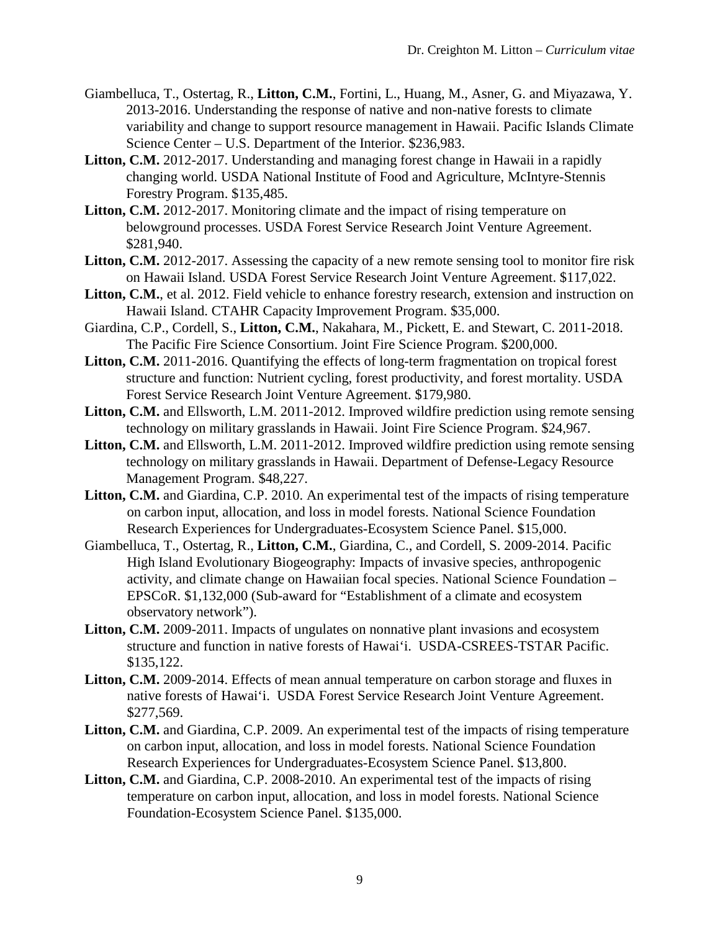- Giambelluca, T., Ostertag, R., **Litton, C.M.**, Fortini, L., Huang, M., Asner, G. and Miyazawa, Y. 2013-2016. Understanding the response of native and non-native forests to climate variability and change to support resource management in Hawaii. Pacific Islands Climate Science Center – U.S. Department of the Interior. \$236,983.
- **Litton, C.M.** 2012-2017. Understanding and managing forest change in Hawaii in a rapidly changing world. USDA National Institute of Food and Agriculture, McIntyre-Stennis Forestry Program. \$135,485.
- Litton, C.M. 2012-2017. Monitoring climate and the impact of rising temperature on belowground processes. USDA Forest Service Research Joint Venture Agreement. \$281,940.
- Litton, C.M. 2012-2017. Assessing the capacity of a new remote sensing tool to monitor fire risk on Hawaii Island. USDA Forest Service Research Joint Venture Agreement. \$117,022.
- Litton, C.M., et al. 2012. Field vehicle to enhance forestry research, extension and instruction on Hawaii Island. CTAHR Capacity Improvement Program. \$35,000.
- Giardina, C.P., Cordell, S., **Litton, C.M.**, Nakahara, M., Pickett, E. and Stewart, C. 2011-2018. The Pacific Fire Science Consortium. Joint Fire Science Program. \$200,000.
- Litton, C.M. 2011-2016. Quantifying the effects of long-term fragmentation on tropical forest structure and function: Nutrient cycling, forest productivity, and forest mortality. USDA Forest Service Research Joint Venture Agreement. \$179,980.
- **Litton, C.M.** and Ellsworth, L.M. 2011-2012. Improved wildfire prediction using remote sensing technology on military grasslands in Hawaii. Joint Fire Science Program. \$24,967.
- **Litton, C.M.** and Ellsworth, L.M. 2011-2012. Improved wildfire prediction using remote sensing technology on military grasslands in Hawaii. Department of Defense-Legacy Resource Management Program. \$48,227.
- Litton, C.M. and Giardina, C.P. 2010. An experimental test of the impacts of rising temperature on carbon input, allocation, and loss in model forests. National Science Foundation Research Experiences for Undergraduates-Ecosystem Science Panel. \$15,000.
- Giambelluca, T., Ostertag, R., **Litton, C.M.**, Giardina, C., and Cordell, S. 2009-2014. Pacific High Island Evolutionary Biogeography: Impacts of invasive species, anthropogenic activity, and climate change on Hawaiian focal species. National Science Foundation – EPSCoR. \$1,132,000 (Sub-award for "Establishment of a climate and ecosystem observatory network").
- **Litton, C.M.** 2009-2011. Impacts of ungulates on nonnative plant invasions and ecosystem structure and function in native forests of Hawai'i. USDA-CSREES-TSTAR Pacific. \$135,122.
- **Litton, C.M.** 2009-2014. Effects of mean annual temperature on carbon storage and fluxes in native forests of Hawai'i. USDA Forest Service Research Joint Venture Agreement. \$277,569.
- Litton, C.M. and Giardina, C.P. 2009. An experimental test of the impacts of rising temperature on carbon input, allocation, and loss in model forests. National Science Foundation Research Experiences for Undergraduates-Ecosystem Science Panel. \$13,800.
- **Litton, C.M.** and Giardina, C.P. 2008-2010. An experimental test of the impacts of rising temperature on carbon input, allocation, and loss in model forests. National Science Foundation-Ecosystem Science Panel. \$135,000.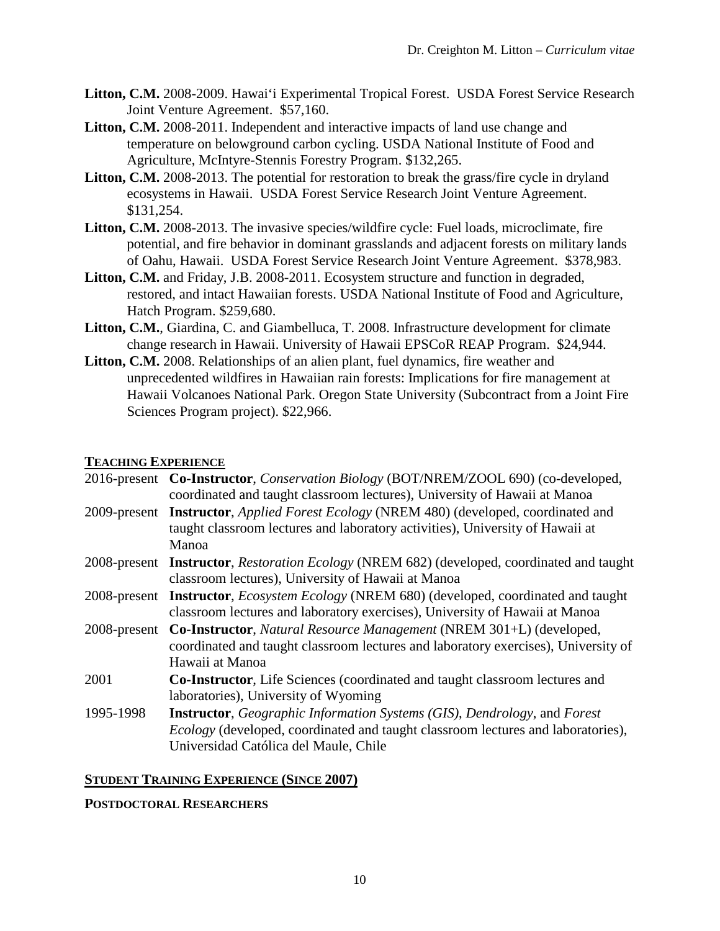- **Litton, C.M.** 2008-2009. Hawai'i Experimental Tropical Forest. USDA Forest Service Research Joint Venture Agreement. \$57,160.
- **Litton, C.M.** 2008-2011. Independent and interactive impacts of land use change and temperature on belowground carbon cycling. USDA National Institute of Food and Agriculture, McIntyre-Stennis Forestry Program. \$132,265.
- Litton, C.M. 2008-2013. The potential for restoration to break the grass/fire cycle in dryland ecosystems in Hawaii. USDA Forest Service Research Joint Venture Agreement. \$131,254.
- Litton, C.M. 2008-2013. The invasive species/wildfire cycle: Fuel loads, microclimate, fire potential, and fire behavior in dominant grasslands and adjacent forests on military lands of Oahu, Hawaii. USDA Forest Service Research Joint Venture Agreement. \$378,983.
- Litton, C.M. and Friday, J.B. 2008-2011. Ecosystem structure and function in degraded, restored, and intact Hawaiian forests. USDA National Institute of Food and Agriculture, Hatch Program. \$259,680.
- Litton, C.M., Giardina, C. and Giambelluca, T. 2008. Infrastructure development for climate change research in Hawaii. University of Hawaii EPSCoR REAP Program. \$24,944.
- **Litton, C.M.** 2008. Relationships of an alien plant, fuel dynamics, fire weather and unprecedented wildfires in Hawaiian rain forests: Implications for fire management at Hawaii Volcanoes National Park. Oregon State University (Subcontract from a Joint Fire Sciences Program project). \$22,966.

## **TEACHING EXPERIENCE**

|           | 2016-present Co-Instructor, Conservation Biology (BOT/NREM/ZOOL 690) (co-developed,<br>coordinated and taught classroom lectures), University of Hawaii at Manoa                                                                     |
|-----------|--------------------------------------------------------------------------------------------------------------------------------------------------------------------------------------------------------------------------------------|
|           | 2009-present Instructor, <i>Applied Forest Ecology</i> (NREM 480) (developed, coordinated and<br>taught classroom lectures and laboratory activities), University of Hawaii at<br>Manoa                                              |
|           | 2008-present Instructor, <i>Restoration Ecology</i> (NREM 682) (developed, coordinated and taught<br>classroom lectures), University of Hawaii at Manoa                                                                              |
|           | 2008-present Instructor, <i>Ecosystem Ecology</i> (NREM 680) (developed, coordinated and taught<br>classroom lectures and laboratory exercises), University of Hawaii at Manoa                                                       |
|           | 2008-present Co-Instructor, Natural Resource Management (NREM 301+L) (developed,<br>coordinated and taught classroom lectures and laboratory exercises), University of<br>Hawaii at Manoa                                            |
| 2001      | Co-Instructor, Life Sciences (coordinated and taught classroom lectures and<br>laboratories), University of Wyoming                                                                                                                  |
| 1995-1998 | <b>Instructor</b> , <i>Geographic Information Systems (GIS)</i> , <i>Dendrology</i> , and <i>Forest</i><br>Ecology (developed, coordinated and taught classroom lectures and laboratories),<br>Universidad Católica del Maule, Chile |

### **STUDENT TRAINING EXPERIENCE (SINCE 2007)**

### **POSTDOCTORAL RESEARCHERS**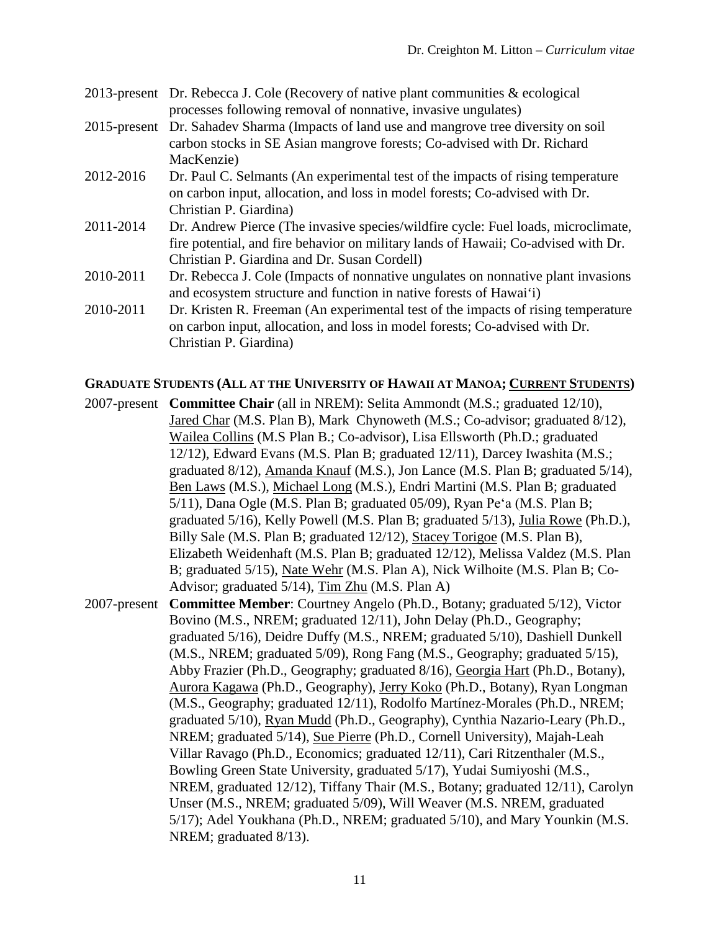| 2013-present Dr. Rebecca J. Cole (Recovery of native plant communities & ecological |
|-------------------------------------------------------------------------------------|
| processes following removal of nonnative, invasive ungulates)                       |

- 2015-present Dr. Sahadev Sharma (Impacts of land use and mangrove tree diversity on soil carbon stocks in SE Asian mangrove forests; Co-advised with Dr. Richard MacKenzie)
- 2012-2016 Dr. Paul C. Selmants (An experimental test of the impacts of rising temperature on carbon input, allocation, and loss in model forests; Co-advised with Dr. Christian P. Giardina)
- 2011-2014 Dr. Andrew Pierce (The invasive species/wildfire cycle: Fuel loads, microclimate, fire potential, and fire behavior on military lands of Hawaii; Co-advised with Dr. Christian P. Giardina and Dr. Susan Cordell)
- 2010-2011 Dr. Rebecca J. Cole (Impacts of nonnative ungulates on nonnative plant invasions and ecosystem structure and function in native forests of Hawai'i)
- 2010-2011 Dr. Kristen R. Freeman (An experimental test of the impacts of rising temperature on carbon input, allocation, and loss in model forests; Co-advised with Dr. Christian P. Giardina)

## **GRADUATE STUDENTS (ALL AT THE UNIVERSITY OF HAWAII AT MANOA; CURRENT STUDENTS)**

- 2007-present **Committee Chair** (all in NREM): Selita Ammondt (M.S.; graduated 12/10), Jared Char (M.S. Plan B), Mark Chynoweth (M.S.; Co-advisor; graduated 8/12), Wailea Collins (M.S Plan B.; Co-advisor), Lisa Ellsworth (Ph.D.; graduated 12/12), Edward Evans (M.S. Plan B; graduated 12/11), Darcey Iwashita (M.S.; graduated 8/12), Amanda Knauf (M.S.), Jon Lance (M.S. Plan B; graduated 5/14), Ben Laws (M.S.), Michael Long (M.S.), Endri Martini (M.S. Plan B; graduated 5/11), Dana Ogle (M.S. Plan B; graduated 05/09), Ryan Peʻa (M.S. Plan B; graduated 5/16), Kelly Powell (M.S. Plan B; graduated 5/13), Julia Rowe (Ph.D.), Billy Sale (M.S. Plan B; graduated 12/12), Stacey Torigoe (M.S. Plan B), Elizabeth Weidenhaft (M.S. Plan B; graduated 12/12), Melissa Valdez (M.S. Plan B; graduated 5/15), Nate Wehr (M.S. Plan A), Nick Wilhoite (M.S. Plan B; Co-Advisor; graduated 5/14), Tim Zhu (M.S. Plan A)
- 2007-present **Committee Member**: Courtney Angelo (Ph.D., Botany; graduated 5/12), Victor Bovino (M.S., NREM; graduated 12/11), John Delay (Ph.D., Geography; graduated 5/16), Deidre Duffy (M.S., NREM; graduated 5/10), Dashiell Dunkell (M.S., NREM; graduated 5/09), Rong Fang (M.S., Geography; graduated 5/15), Abby Frazier (Ph.D., Geography; graduated 8/16), Georgia Hart (Ph.D., Botany), Aurora Kagawa (Ph.D., Geography), Jerry Koko (Ph.D., Botany), Ryan Longman (M.S., Geography; graduated 12/11), Rodolfo Martínez-Morales (Ph.D., NREM; graduated 5/10), Ryan Mudd (Ph.D., Geography), Cynthia Nazario-Leary (Ph.D., NREM; graduated 5/14), Sue Pierre (Ph.D., Cornell University), Majah-Leah Villar Ravago (Ph.D., Economics; graduated 12/11), Cari Ritzenthaler (M.S., Bowling Green State University, graduated 5/17), Yudai Sumiyoshi (M.S., NREM, graduated 12/12), Tiffany Thair (M.S., Botany; graduated 12/11), Carolyn Unser (M.S., NREM; graduated 5/09), Will Weaver (M.S. NREM, graduated 5/17); Adel Youkhana (Ph.D., NREM; graduated 5/10), and Mary Younkin (M.S. NREM; graduated 8/13).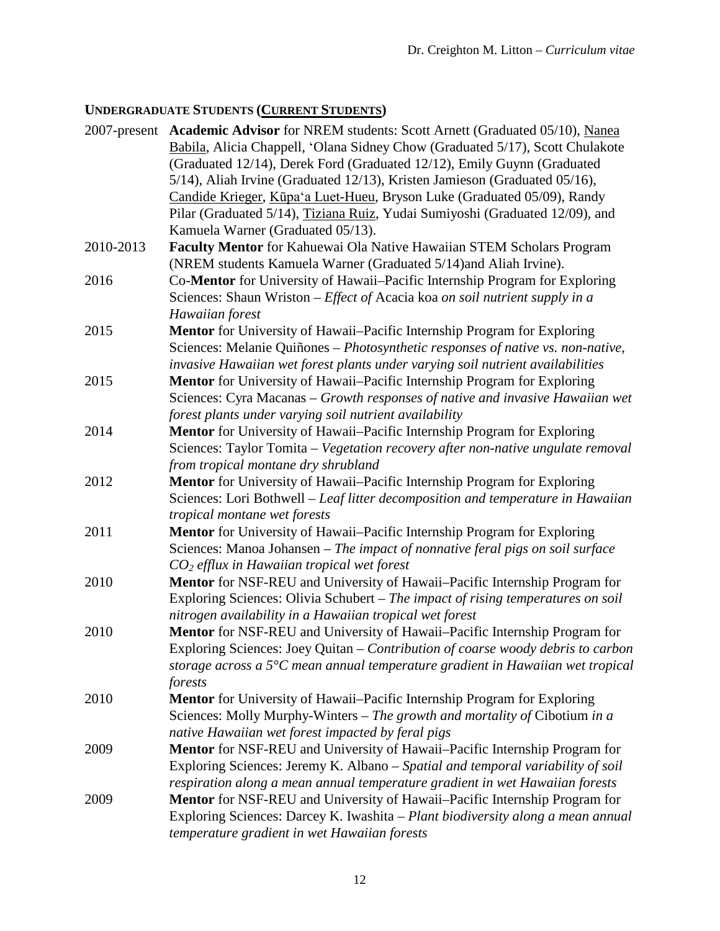# **UNDERGRADUATE STUDENTS (CURRENT STUDENTS)**

|                      | 2007-present Academic Advisor for NREM students: Scott Arnett (Graduated 05/10), Nanea<br>Babila, Alicia Chappell, 'Olana Sidney Chow (Graduated 5/17), Scott Chulakote                                                          |
|----------------------|----------------------------------------------------------------------------------------------------------------------------------------------------------------------------------------------------------------------------------|
|                      | (Graduated 12/14), Derek Ford (Graduated 12/12), Emily Guynn (Graduated<br>5/14), Aliah Irvine (Graduated 12/13), Kristen Jamieson (Graduated 05/16),<br>Candide Krieger, Kūpa'a Luet-Hueu, Bryson Luke (Graduated 05/09), Randy |
|                      | Pilar (Graduated 5/14), Tiziana Ruiz, Yudai Sumiyoshi (Graduated 12/09), and<br>Kamuela Warner (Graduated 05/13).                                                                                                                |
| 2010-2013            | Faculty Mentor for Kahuewai Ola Native Hawaiian STEM Scholars Program                                                                                                                                                            |
|                      | (NREM students Kamuela Warner (Graduated 5/14)and Aliah Irvine).                                                                                                                                                                 |
| 2016                 | Co-Mentor for University of Hawaii–Pacific Internship Program for Exploring                                                                                                                                                      |
|                      | Sciences: Shaun Wriston - Effect of Acacia koa on soil nutrient supply in a                                                                                                                                                      |
|                      | Hawaiian forest                                                                                                                                                                                                                  |
| 2015                 | Mentor for University of Hawaii-Pacific Internship Program for Exploring<br>Sciences: Melanie Quiñones - Photosynthetic responses of native vs. non-native,                                                                      |
|                      | invasive Hawaiian wet forest plants under varying soil nutrient availabilities                                                                                                                                                   |
| 2015                 | Mentor for University of Hawaii-Pacific Internship Program for Exploring                                                                                                                                                         |
|                      | Sciences: Cyra Macanas - Growth responses of native and invasive Hawaiian wet                                                                                                                                                    |
|                      | forest plants under varying soil nutrient availability                                                                                                                                                                           |
| 2014                 | Mentor for University of Hawaii-Pacific Internship Program for Exploring                                                                                                                                                         |
|                      | Sciences: Taylor Tomita - Vegetation recovery after non-native ungulate removal                                                                                                                                                  |
|                      | from tropical montane dry shrubland                                                                                                                                                                                              |
| 2012                 | Mentor for University of Hawaii-Pacific Internship Program for Exploring                                                                                                                                                         |
|                      | Sciences: Lori Bothwell - Leaf litter decomposition and temperature in Hawaiian                                                                                                                                                  |
|                      | tropical montane wet forests                                                                                                                                                                                                     |
| 2011                 | Mentor for University of Hawaii-Pacific Internship Program for Exploring                                                                                                                                                         |
|                      | Sciences: Manoa Johansen - The impact of nonnative feral pigs on soil surface                                                                                                                                                    |
| 2010                 | $CO2$ efflux in Hawaiian tropical wet forest<br>Mentor for NSF-REU and University of Hawaii-Pacific Internship Program for                                                                                                       |
|                      | Exploring Sciences: Olivia Schubert - The impact of rising temperatures on soil                                                                                                                                                  |
|                      | nitrogen availability in a Hawaiian tropical wet forest                                                                                                                                                                          |
| 2010                 | Mentor for NSF-REU and University of Hawaii-Pacific Internship Program for                                                                                                                                                       |
|                      | Exploring Sciences: Joey Quitan - Contribution of coarse woody debris to carbon                                                                                                                                                  |
|                      | storage across a $5^{\circ}$ C mean annual temperature gradient in Hawaiian wet tropical                                                                                                                                         |
|                      | forests                                                                                                                                                                                                                          |
| 2010<br>2009<br>2009 | Mentor for University of Hawaii-Pacific Internship Program for Exploring                                                                                                                                                         |
|                      | Sciences: Molly Murphy-Winters - The growth and mortality of Cibotium in a                                                                                                                                                       |
|                      | native Hawaiian wet forest impacted by feral pigs                                                                                                                                                                                |
|                      | Mentor for NSF-REU and University of Hawaii-Pacific Internship Program for                                                                                                                                                       |
|                      | Exploring Sciences: Jeremy K. Albano - Spatial and temporal variability of soil<br>respiration along a mean annual temperature gradient in wet Hawaiian forests                                                                  |
|                      | Mentor for NSF-REU and University of Hawaii-Pacific Internship Program for                                                                                                                                                       |
|                      | Exploring Sciences: Darcey K. Iwashita - Plant biodiversity along a mean annual                                                                                                                                                  |
|                      | temperature gradient in wet Hawaiian forests                                                                                                                                                                                     |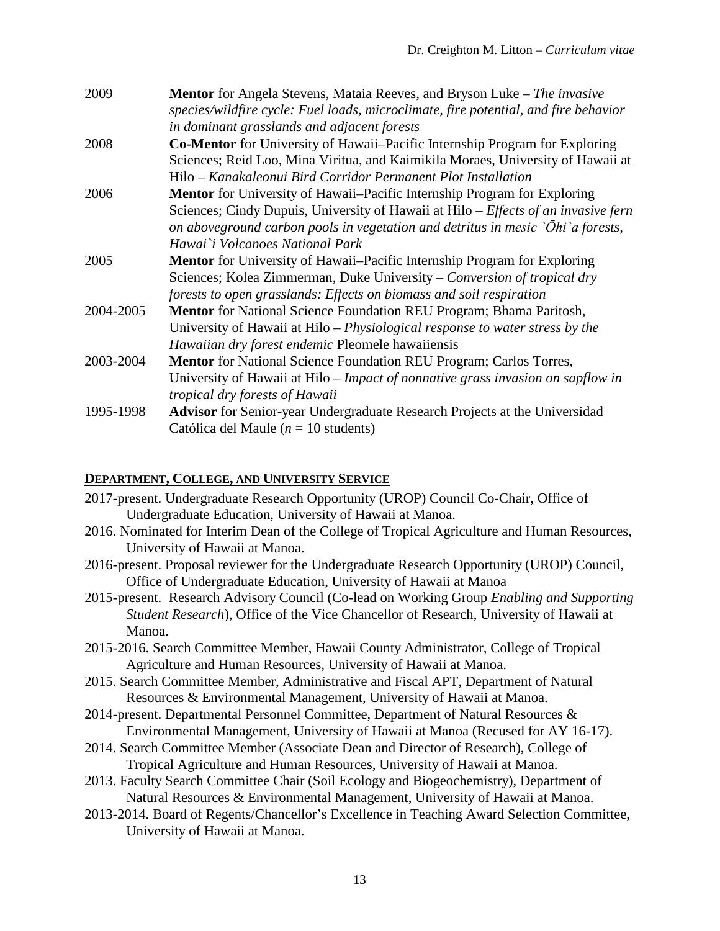| 2009      | <b>Mentor</b> for Angela Stevens, Mataia Reeves, and Bryson Luke – The invasive     |
|-----------|-------------------------------------------------------------------------------------|
|           | species/wildfire cycle: Fuel loads, microclimate, fire potential, and fire behavior |
|           | in dominant grasslands and adjacent forests                                         |
| 2008      | <b>Co-Mentor</b> for University of Hawaii–Pacific Internship Program for Exploring  |
|           | Sciences; Reid Loo, Mina Viritua, and Kaimikila Moraes, University of Hawaii at     |
|           | Hilo - Kanakaleonui Bird Corridor Permanent Plot Installation                       |
| 2006      | <b>Mentor</b> for University of Hawaii–Pacific Internship Program for Exploring     |
|           | Sciences; Cindy Dupuis, University of Hawaii at Hilo - Effects of an invasive fern  |
|           | on aboveground carbon pools in vegetation and detritus in mesic `Ōhi`a forests,     |
|           | Hawai`i Volcanoes National Park                                                     |
| 2005      | <b>Mentor</b> for University of Hawaii–Pacific Internship Program for Exploring     |
|           | Sciences; Kolea Zimmerman, Duke University – Conversion of tropical dry             |
|           | forests to open grasslands: Effects on biomass and soil respiration                 |
| 2004-2005 | <b>Mentor</b> for National Science Foundation REU Program; Bhama Paritosh,          |
|           | University of Hawaii at Hilo – Physiological response to water stress by the        |
|           | Hawaiian dry forest endemic Pleomele hawaiiensis                                    |
| 2003-2004 | <b>Mentor</b> for National Science Foundation REU Program; Carlos Torres,           |
|           | University of Hawaii at Hilo - Impact of nonnative grass invasion on sapflow in     |
|           | tropical dry forests of Hawaii                                                      |
| 1995-1998 | <b>Advisor</b> for Senior-year Undergraduate Research Projects at the Universidad   |
|           | Católica del Maule ( $n = 10$ students)                                             |

# **DEPARTMENT, COLLEGE, AND UNIVERSITY SERVICE**

| 2017-present. Undergraduate Research Opportunity (UROP) Council Co-Chair, Office of              |
|--------------------------------------------------------------------------------------------------|
| Undergraduate Education, University of Hawaii at Manoa.                                          |
| 2016. Nominated for Interim Dean of the College of Tropical Agriculture and Human Resources,     |
| University of Hawaii at Manoa.                                                                   |
| 2016-present. Proposal reviewer for the Undergraduate Research Opportunity (UROP) Council,       |
| Office of Undergraduate Education, University of Hawaii at Manoa                                 |
| 2015-present. Research Advisory Council (Co-lead on Working Group <i>Enabling and Supporting</i> |
| <i>Student Research</i> ), Office of the Vice Chancellor of Research, University of Hawaii at    |
| Manoa.                                                                                           |
| 2015-2016. Search Committee Member, Hawaii County Administrator, College of Tropical             |
| Agriculture and Human Resources, University of Hawaii at Manoa.                                  |
| 2015. Search Committee Member, Administrative and Fiscal APT, Department of Natural              |
| Resources & Environmental Management, University of Hawaii at Manoa.                             |
| 2014-present. Departmental Personnel Committee, Department of Natural Resources &                |
| Environmental Management, University of Hawaii at Manoa (Recused for AY 16-17).                  |
| 2014. Search Committee Member (Associate Dean and Director of Research), College of              |
| Tropical Agriculture and Human Resources, University of Hawaii at Manoa.                         |
|                                                                                                  |

- 2013. Faculty Search Committee Chair (Soil Ecology and Biogeochemistry), Department of Natural Resources & Environmental Management, University of Hawaii at Manoa.
- 2013-2014. Board of Regents/Chancellor's Excellence in Teaching Award Selection Committee, University of Hawaii at Manoa.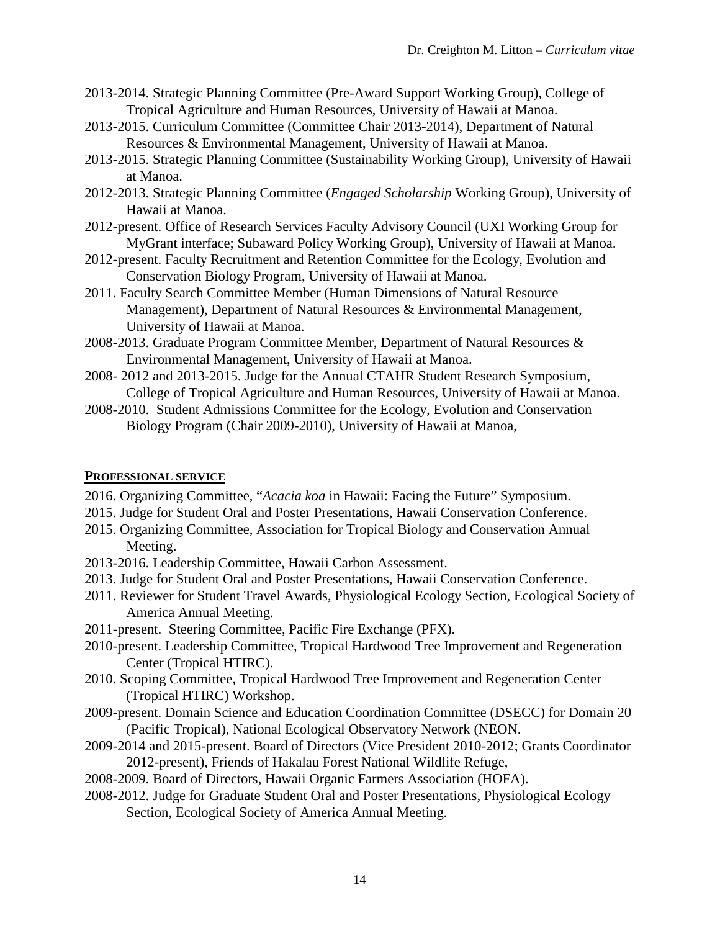- 2013-2014. Strategic Planning Committee (Pre-Award Support Working Group), College of Tropical Agriculture and Human Resources, University of Hawaii at Manoa.
- 2013-2015. Curriculum Committee (Committee Chair 2013-2014), Department of Natural Resources & Environmental Management, University of Hawaii at Manoa.
- 2013-2015. Strategic Planning Committee (Sustainability Working Group), University of Hawaii at Manoa.
- 2012-2013. Strategic Planning Committee (*Engaged Scholarship* Working Group), University of Hawaii at Manoa.
- 2012-present. Office of Research Services Faculty Advisory Council (UXI Working Group for MyGrant interface; Subaward Policy Working Group), University of Hawaii at Manoa.
- 2012-present. Faculty Recruitment and Retention Committee for the Ecology, Evolution and Conservation Biology Program, University of Hawaii at Manoa.
- 2011. Faculty Search Committee Member (Human Dimensions of Natural Resource Management), Department of Natural Resources & Environmental Management, University of Hawaii at Manoa.
- 2008-2013. Graduate Program Committee Member, Department of Natural Resources & Environmental Management, University of Hawaii at Manoa.
- 2008- 2012 and 2013-2015. Judge for the Annual CTAHR Student Research Symposium, College of Tropical Agriculture and Human Resources, University of Hawaii at Manoa.
- 2008-2010. Student Admissions Committee for the Ecology, Evolution and Conservation Biology Program (Chair 2009-2010), University of Hawaii at Manoa,

## **PROFESSIONAL SERVICE**

- 2016. Organizing Committee, "*Acacia koa* in Hawaii: Facing the Future" Symposium.
- 2015. Judge for Student Oral and Poster Presentations, Hawaii Conservation Conference.
- 2015. Organizing Committee, Association for Tropical Biology and Conservation Annual Meeting.
- 2013-2016. Leadership Committee, Hawaii Carbon Assessment.
- 2013. Judge for Student Oral and Poster Presentations, Hawaii Conservation Conference.
- 2011. Reviewer for Student Travel Awards, Physiological Ecology Section, Ecological Society of America Annual Meeting.
- 2011-present. Steering Committee, Pacific Fire Exchange (PFX).
- 2010-present. Leadership Committee, Tropical Hardwood Tree Improvement and Regeneration Center (Tropical HTIRC).
- 2010. Scoping Committee, Tropical Hardwood Tree Improvement and Regeneration Center (Tropical HTIRC) Workshop.
- 2009-present. Domain Science and Education Coordination Committee (DSECC) for Domain 20 (Pacific Tropical), National Ecological Observatory Network (NEON.
- 2009-2014 and 2015-present. Board of Directors (Vice President 2010-2012; Grants Coordinator 2012-present), Friends of Hakalau Forest National Wildlife Refuge,
- 2008-2009. Board of Directors, Hawaii Organic Farmers Association (HOFA).
- 2008-2012. Judge for Graduate Student Oral and Poster Presentations, Physiological Ecology Section, Ecological Society of America Annual Meeting.